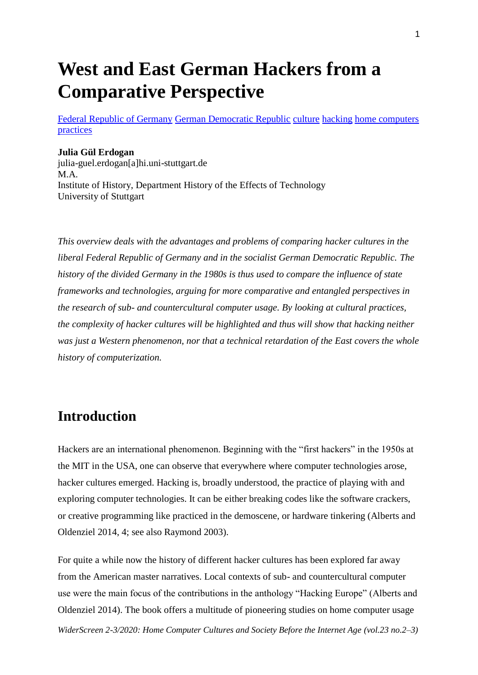# **West and East German Hackers from a Comparative Perspective**

[Federal Republic of Germany](http://widerscreen.fi/akateeminen-avainsana/federal-republic-of-germany/) [German Democratic Republic](http://widerscreen.fi/akateeminen-avainsana/german-democratic-republic/) [culture](http://widerscreen.fi/akateeminen-avainsana/culture/) [hacking](http://widerscreen.fi/akateeminen-avainsana/hacking/) [home computers](http://widerscreen.fi/akateeminen-avainsana/home-computers/) [practices](http://widerscreen.fi/akateeminen-avainsana/practices/)

#### **Julia Gül Erdogan**

julia-guel.erdogan[a]hi.uni-stuttgart.de M.A. Institute of History, Department History of the Effects of Technology University of Stuttgart

*This overview deals with the advantages and problems of comparing hacker cultures in the liberal Federal Republic of Germany and in the socialist German Democratic Republic. The history of the divided Germany in the 1980s is thus used to compare the influence of state frameworks and technologies, arguing for more comparative and entangled perspectives in the research of sub- and countercultural computer usage. By looking at cultural practices, the complexity of hacker cultures will be highlighted and thus will show that hacking neither was just a Western phenomenon, nor that a technical retardation of the East covers the whole history of computerization.*

### **Introduction**

Hackers are an international phenomenon. Beginning with the "first hackers" in the 1950s at the MIT in the USA, one can observe that everywhere where computer technologies arose, hacker cultures emerged. Hacking is, broadly understood, the practice of playing with and exploring computer technologies. It can be either breaking codes like the software crackers, or creative programming like practiced in the demoscene, or hardware tinkering (Alberts and Oldenziel 2014, 4; see also Raymond 2003).

For quite a while now the history of different hacker cultures has been explored far away from the American master narratives. Local contexts of sub- and countercultural computer use were the main focus of the contributions in the anthology "Hacking Europe" (Alberts and Oldenziel 2014). The book offers a multitude of pioneering studies on home computer usage

*WiderScreen 2-3/2020: Home Computer Cultures and Society Before the Internet Age (vol.23 no.2–3)*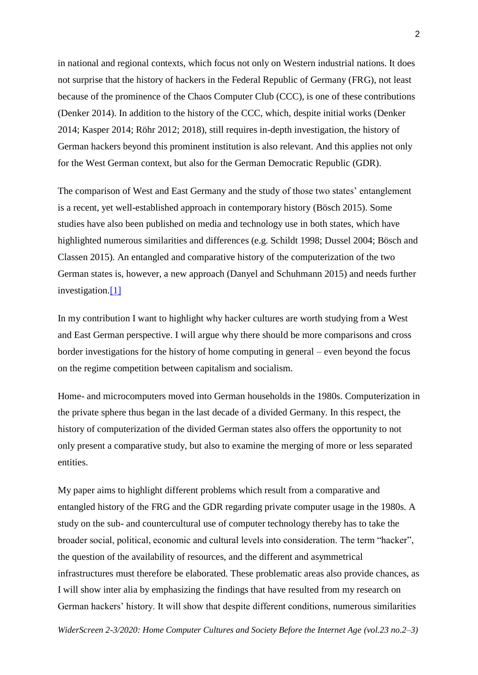in national and regional contexts, which focus not only on Western industrial nations. It does not surprise that the history of hackers in the Federal Republic of Germany (FRG), not least because of the prominence of the Chaos Computer Club (CCC), is one of these contributions (Denker 2014). In addition to the history of the CCC, which, despite initial works (Denker 2014; Kasper 2014; Röhr 2012; 2018), still requires in-depth investigation, the history of German hackers beyond this prominent institution is also relevant. And this applies not only for the West German context, but also for the German Democratic Republic (GDR).

The comparison of West and East Germany and the study of those two states' entanglement is a recent, yet well-established approach in contemporary history (Bösch 2015). Some studies have also been published on media and technology use in both states, which have highlighted numerous similarities and differences (e.g. Schildt 1998; Dussel 2004; Bösch and Classen 2015). An entangled and comparative history of the computerization of the two German states is, however, a new approach (Danyel and Schuhmann 2015) and needs further investigation[.\[1\]](http://widerscreen.fi/numerot/2020-2-3/west-and-east-german-hackers-from-a-comparative-perspective/#_edn1)

In my contribution I want to highlight why hacker cultures are worth studying from a West and East German perspective. I will argue why there should be more comparisons and cross border investigations for the history of home computing in general – even beyond the focus on the regime competition between capitalism and socialism.

Home- and microcomputers moved into German households in the 1980s. Computerization in the private sphere thus began in the last decade of a divided Germany. In this respect, the history of computerization of the divided German states also offers the opportunity to not only present a comparative study, but also to examine the merging of more or less separated entities.

My paper aims to highlight different problems which result from a comparative and entangled history of the FRG and the GDR regarding private computer usage in the 1980s. A study on the sub- and countercultural use of computer technology thereby has to take the broader social, political, economic and cultural levels into consideration. The term "hacker", the question of the availability of resources, and the different and asymmetrical infrastructures must therefore be elaborated. These problematic areas also provide chances, as I will show inter alia by emphasizing the findings that have resulted from my research on German hackers' history. It will show that despite different conditions, numerous similarities

*WiderScreen 2-3/2020: Home Computer Cultures and Society Before the Internet Age (vol.23 no.2–3)*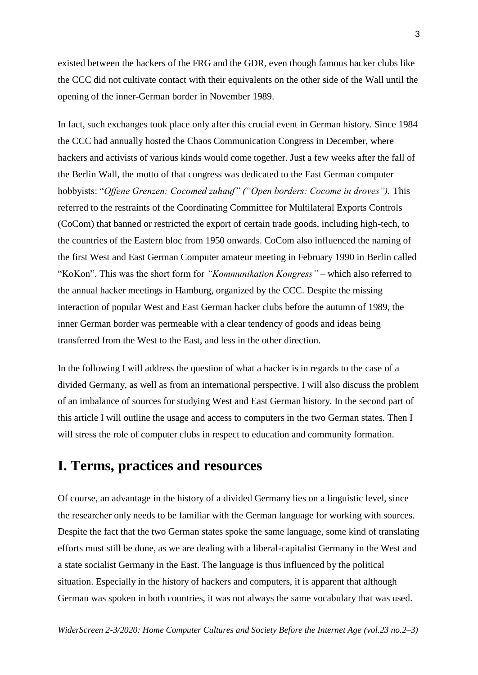existed between the hackers of the FRG and the GDR, even though famous hacker clubs like the CCC did not cultivate contact with their equivalents on the other side of the Wall until the opening of the inner-German border in November 1989.

In fact, such exchanges took place only after this crucial event in German history. Since 1984 the CCC had annually hosted the Chaos Communication Congress in December, where hackers and activists of various kinds would come together. Just a few weeks after the fall of the Berlin Wall, the motto of that congress was dedicated to the East German computer hobbyists: "*Offene Grenzen: Cocomed zuhauf" ("Open borders: Cocome in droves")*. This referred to the restraints of the Coordinating Committee for Multilateral Exports Controls (CoCom) that banned or restricted the export of certain trade goods, including high-tech, to the countries of the Eastern bloc from 1950 onwards. CoCom also influenced the naming of the first West and East German Computer amateur meeting in February 1990 in Berlin called "KoKon". This was the short form for *"Kommunikation Kongress"* – which also referred to the annual hacker meetings in Hamburg, organized by the CCC. Despite the missing interaction of popular West and East German hacker clubs before the autumn of 1989, the inner German border was permeable with a clear tendency of goods and ideas being transferred from the West to the East, and less in the other direction.

In the following I will address the question of what a hacker is in regards to the case of a divided Germany, as well as from an international perspective. I will also discuss the problem of an imbalance of sources for studying West and East German history. In the second part of this article I will outline the usage and access to computers in the two German states. Then I will stress the role of computer clubs in respect to education and community formation.

#### **I. Terms, practices and resources**

Of course, an advantage in the history of a divided Germany lies on a linguistic level, since the researcher only needs to be familiar with the German language for working with sources. Despite the fact that the two German states spoke the same language, some kind of translating efforts must still be done, as we are dealing with a liberal-capitalist Germany in the West and a state socialist Germany in the East. The language is thus influenced by the political situation. Especially in the history of hackers and computers, it is apparent that although German was spoken in both countries, it was not always the same vocabulary that was used.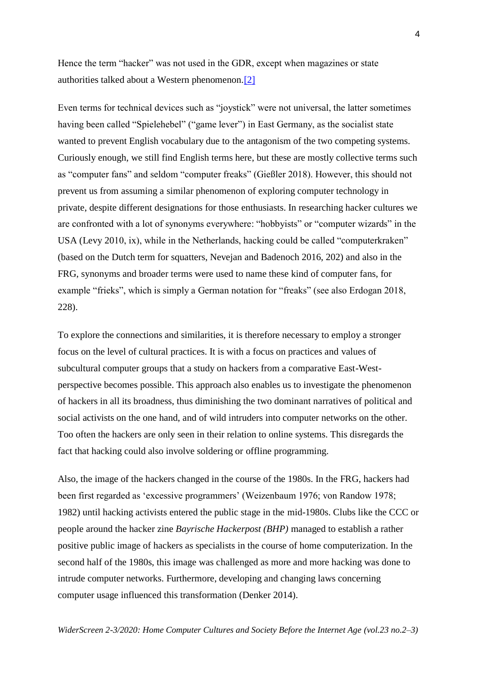Hence the term "hacker" was not used in the GDR, except when magazines or state authorities talked about a Western phenomenon[.\[2\]](http://widerscreen.fi/numerot/2020-2-3/west-and-east-german-hackers-from-a-comparative-perspective/#_edn2)

Even terms for technical devices such as "joystick" were not universal, the latter sometimes having been called "Spielehebel" ("game lever") in East Germany, as the socialist state wanted to prevent English vocabulary due to the antagonism of the two competing systems. Curiously enough, we still find English terms here, but these are mostly collective terms such as "computer fans" and seldom "computer freaks" (Gießler 2018). However, this should not prevent us from assuming a similar phenomenon of exploring computer technology in private, despite different designations for those enthusiasts. In researching hacker cultures we are confronted with a lot of synonyms everywhere: "hobbyists" or "computer wizards" in the USA (Levy 2010, ix), while in the Netherlands, hacking could be called "computerkraken" (based on the Dutch term for squatters, Nevejan and Badenoch 2016, 202) and also in the FRG, synonyms and broader terms were used to name these kind of computer fans, for example "frieks", which is simply a German notation for "freaks" (see also Erdogan 2018, 228).

To explore the connections and similarities, it is therefore necessary to employ a stronger focus on the level of cultural practices. It is with a focus on practices and values of subcultural computer groups that a study on hackers from a comparative East-Westperspective becomes possible. This approach also enables us to investigate the phenomenon of hackers in all its broadness, thus diminishing the two dominant narratives of political and social activists on the one hand, and of wild intruders into computer networks on the other. Too often the hackers are only seen in their relation to online systems. This disregards the fact that hacking could also involve soldering or offline programming.

Also, the image of the hackers changed in the course of the 1980s. In the FRG, hackers had been first regarded as 'excessive programmers' (Weizenbaum 1976; von Randow 1978; 1982) until hacking activists entered the public stage in the mid-1980s. Clubs like the CCC or people around the hacker zine *Bayrische Hackerpost (BHP)* managed to establish a rather positive public image of hackers as specialists in the course of home computerization. In the second half of the 1980s, this image was challenged as more and more hacking was done to intrude computer networks. Furthermore, developing and changing laws concerning computer usage influenced this transformation (Denker 2014).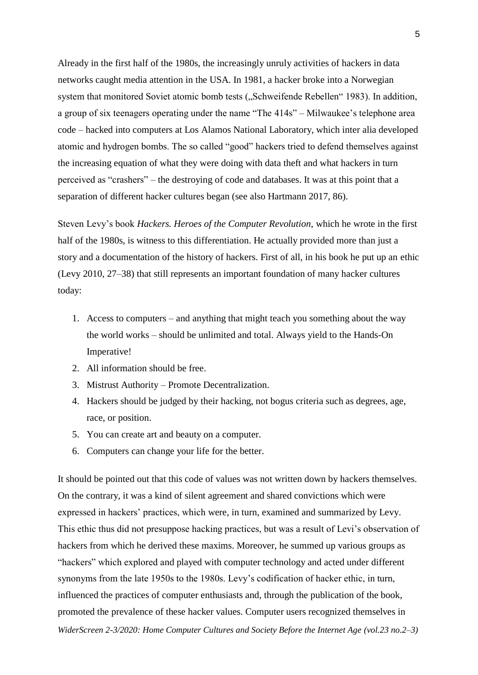Already in the first half of the 1980s, the increasingly unruly activities of hackers in data networks caught media attention in the USA. In 1981, a hacker broke into a Norwegian system that monitored Soviet atomic bomb tests ("Schweifende Rebellen" 1983). In addition, a group of six teenagers operating under the name "The 414s" – Milwaukee's telephone area code – hacked into computers at Los Alamos National Laboratory, which inter alia developed atomic and hydrogen bombs. The so called "good" hackers tried to defend themselves against the increasing equation of what they were doing with data theft and what hackers in turn perceived as "crashers" – the destroying of code and databases. It was at this point that a separation of different hacker cultures began (see also Hartmann 2017, 86).

Steven Levy's book *Hackers. Heroes of the Computer Revolution,* which he wrote in the first half of the 1980s, is witness to this differentiation. He actually provided more than just a story and a documentation of the history of hackers. First of all, in his book he put up an ethic (Levy 2010, 27–38) that still represents an important foundation of many hacker cultures today:

- 1. Access to computers and anything that might teach you something about the way the world works – should be unlimited and total. Always yield to the Hands-On Imperative!
- 2. All information should be free.
- 3. Mistrust Authority Promote Decentralization.
- 4. Hackers should be judged by their hacking, not bogus criteria such as degrees, age, race, or position.
- 5. You can create art and beauty on a computer.
- 6. Computers can change your life for the better.

*WiderScreen 2-3/2020: Home Computer Cultures and Society Before the Internet Age (vol.23 no.2–3)* It should be pointed out that this code of values was not written down by hackers themselves. On the contrary, it was a kind of silent agreement and shared convictions which were expressed in hackers' practices, which were, in turn, examined and summarized by Levy. This ethic thus did not presuppose hacking practices, but was a result of Levi's observation of hackers from which he derived these maxims. Moreover, he summed up various groups as "hackers" which explored and played with computer technology and acted under different synonyms from the late 1950s to the 1980s. Levy's codification of hacker ethic, in turn, influenced the practices of computer enthusiasts and, through the publication of the book, promoted the prevalence of these hacker values. Computer users recognized themselves in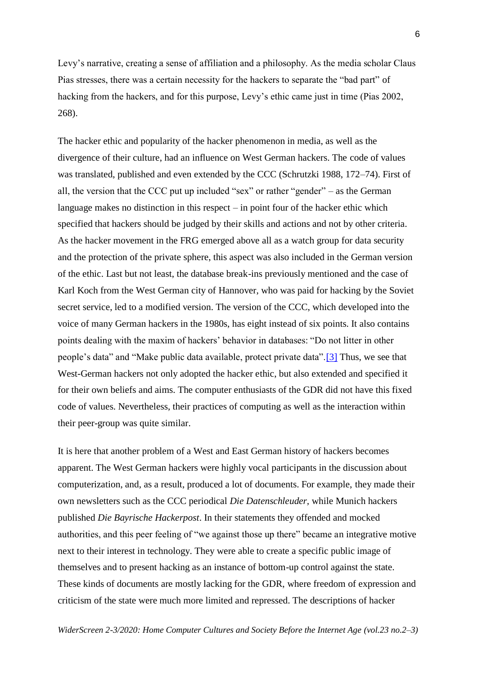Levy's narrative, creating a sense of affiliation and a philosophy. As the media scholar Claus Pias stresses, there was a certain necessity for the hackers to separate the "bad part" of hacking from the hackers, and for this purpose, Levy's ethic came just in time (Pias 2002, 268).

The hacker ethic and popularity of the hacker phenomenon in media, as well as the divergence of their culture, had an influence on West German hackers. The code of values was translated, published and even extended by the CCC (Schrutzki 1988, 172–74). First of all, the version that the CCC put up included "sex" or rather "gender" – as the German language makes no distinction in this respect – in point four of the hacker ethic which specified that hackers should be judged by their skills and actions and not by other criteria. As the hacker movement in the FRG emerged above all as a watch group for data security and the protection of the private sphere, this aspect was also included in the German version of the ethic. Last but not least, the database break-ins previously mentioned and the case of Karl Koch from the West German city of Hannover, who was paid for hacking by the Soviet secret service, led to a modified version. The version of the CCC, which developed into the voice of many German hackers in the 1980s, has eight instead of six points. It also contains points dealing with the maxim of hackers' behavior in databases: "Do not litter in other people's data" and "Make public data available, protect private data"[.\[3\]](http://widerscreen.fi/numerot/2020-2-3/west-and-east-german-hackers-from-a-comparative-perspective/#_edn3) Thus, we see that West-German hackers not only adopted the hacker ethic, but also extended and specified it for their own beliefs and aims. The computer enthusiasts of the GDR did not have this fixed code of values. Nevertheless, their practices of computing as well as the interaction within their peer-group was quite similar.

It is here that another problem of a West and East German history of hackers becomes apparent. The West German hackers were highly vocal participants in the discussion about computerization, and, as a result, produced a lot of documents. For example, they made their own newsletters such as the CCC periodical *Die Datenschleuder,* while Munich hackers published *Die Bayrische Hackerpost*. In their statements they offended and mocked authorities, and this peer feeling of "we against those up there" became an integrative motive next to their interest in technology. They were able to create a specific public image of themselves and to present hacking as an instance of bottom-up control against the state. These kinds of documents are mostly lacking for the GDR, where freedom of expression and criticism of the state were much more limited and repressed. The descriptions of hacker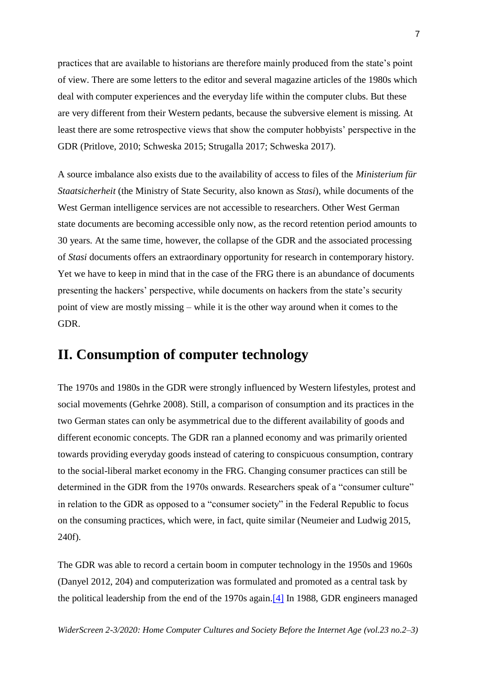practices that are available to historians are therefore mainly produced from the state's point of view. There are some letters to the editor and several magazine articles of the 1980s which deal with computer experiences and the everyday life within the computer clubs. But these are very different from their Western pedants, because the subversive element is missing. At least there are some retrospective views that show the computer hobbyists' perspective in the GDR (Pritlove, 2010; Schweska 2015; Strugalla 2017; Schweska 2017).

A source imbalance also exists due to the availability of access to files of the *Ministerium für Staatsicherheit* (the Ministry of State Security, also known as *Stasi*), while documents of the West German intelligence services are not accessible to researchers. Other West German state documents are becoming accessible only now, as the record retention period amounts to 30 years. At the same time, however, the collapse of the GDR and the associated processing of *Stasi* documents offers an extraordinary opportunity for research in contemporary history. Yet we have to keep in mind that in the case of the FRG there is an abundance of documents presenting the hackers' perspective, while documents on hackers from the state's security point of view are mostly missing – while it is the other way around when it comes to the GDR.

### **II. Consumption of computer technology**

The 1970s and 1980s in the GDR were strongly influenced by Western lifestyles, protest and social movements (Gehrke 2008). Still, a comparison of consumption and its practices in the two German states can only be asymmetrical due to the different availability of goods and different economic concepts. The GDR ran a planned economy and was primarily oriented towards providing everyday goods instead of catering to conspicuous consumption, contrary to the social-liberal market economy in the FRG. Changing consumer practices can still be determined in the GDR from the 1970s onwards. Researchers speak of a "consumer culture" in relation to the GDR as opposed to a "consumer society" in the Federal Republic to focus on the consuming practices, which were, in fact, quite similar (Neumeier and Ludwig 2015, 240f).

The GDR was able to record a certain boom in computer technology in the 1950s and 1960s (Danyel 2012, 204) and computerization was formulated and promoted as a central task by the political leadership from the end of the 1970s again[.\[4\]](http://widerscreen.fi/numerot/2020-2-3/west-and-east-german-hackers-from-a-comparative-perspective/#_edn4) In 1988, GDR engineers managed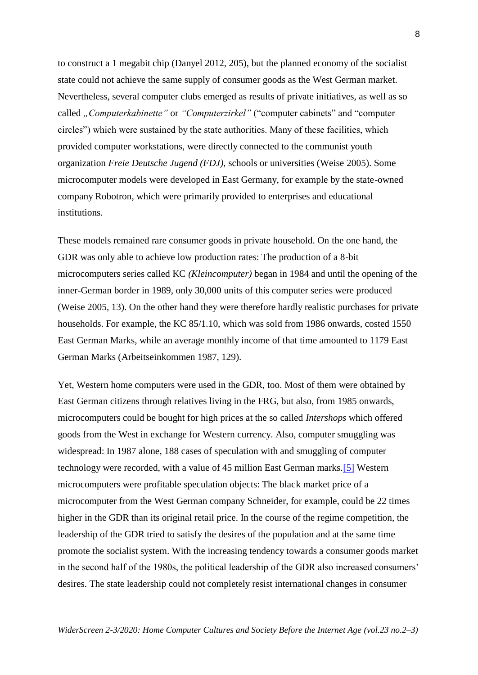to construct a 1 megabit chip (Danyel 2012, 205), but the planned economy of the socialist state could not achieve the same supply of consumer goods as the West German market. Nevertheless, several computer clubs emerged as results of private initiatives, as well as so called *"Computerkabinette"* or *"Computerzirkel"* ("computer cabinets" and "computer circles") which were sustained by the state authorities. Many of these facilities, which provided computer workstations, were directly connected to the communist youth organization *Freie Deutsche Jugend (FDJ),* schools or universities (Weise 2005). Some microcomputer models were developed in East Germany, for example by the state-owned company Robotron, which were primarily provided to enterprises and educational institutions.

These models remained rare consumer goods in private household. On the one hand, the GDR was only able to achieve low production rates: The production of a 8-bit microcomputers series called KC *(Kleincomputer)* began in 1984 and until the opening of the inner-German border in 1989, only 30,000 units of this computer series were produced (Weise 2005, 13). On the other hand they were therefore hardly realistic purchases for private households. For example, the KC 85/1.10, which was sold from 1986 onwards, costed 1550 East German Marks, while an average monthly income of that time amounted to 1179 East German Marks (Arbeitseinkommen 1987, 129).

Yet, Western home computers were used in the GDR, too. Most of them were obtained by East German citizens through relatives living in the FRG, but also, from 1985 onwards, microcomputers could be bought for high prices at the so called *Intershops* which offered goods from the West in exchange for Western currency. Also, computer smuggling was widespread: In 1987 alone, 188 cases of speculation with and smuggling of computer technology were recorded, with a value of 45 million East German marks[.\[5\]](http://widerscreen.fi/numerot/2020-2-3/west-and-east-german-hackers-from-a-comparative-perspective/#_edn5) Western microcomputers were profitable speculation objects: The black market price of a microcomputer from the West German company Schneider, for example, could be 22 times higher in the GDR than its original retail price. In the course of the regime competition, the leadership of the GDR tried to satisfy the desires of the population and at the same time promote the socialist system. With the increasing tendency towards a consumer goods market in the second half of the 1980s, the political leadership of the GDR also increased consumers' desires. The state leadership could not completely resist international changes in consumer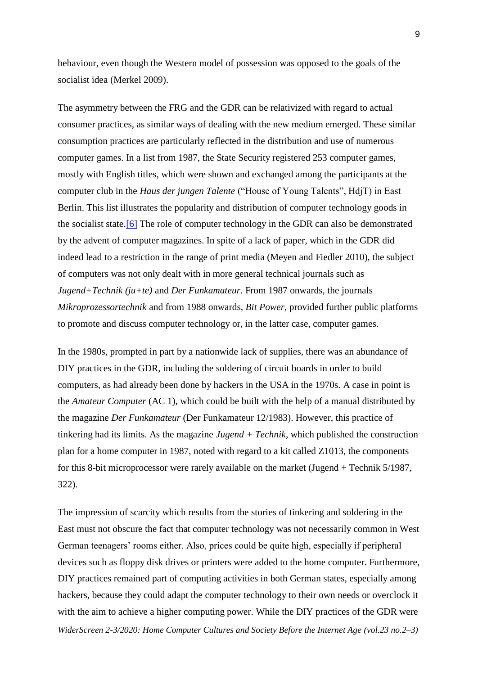behaviour, even though the Western model of possession was opposed to the goals of the socialist idea (Merkel 2009).

The asymmetry between the FRG and the GDR can be relativized with regard to actual consumer practices, as similar ways of dealing with the new medium emerged. These similar consumption practices are particularly reflected in the distribution and use of numerous computer games. In a list from 1987, the State Security registered 253 computer games, mostly with English titles, which were shown and exchanged among the participants at the computer club in the *Haus der jungen Talente* ("House of Young Talents", HdjT) in East Berlin. This list illustrates the popularity and distribution of computer technology goods in the socialist state[.\[6\]](http://widerscreen.fi/numerot/2020-2-3/west-and-east-german-hackers-from-a-comparative-perspective/#_edn6) The role of computer technology in the GDR can also be demonstrated by the advent of computer magazines. In spite of a lack of paper, which in the GDR did indeed lead to a restriction in the range of print media (Meyen and Fiedler 2010), the subject of computers was not only dealt with in more general technical journals such as *Jugend+Technik (ju+te)* and *Der Funkamateur*. From 1987 onwards, the journals *Mikroprozessortechnik* and from 1988 onwards, *Bit Power,* provided further public platforms to promote and discuss computer technology or, in the latter case, computer games.

In the 1980s, prompted in part by a nationwide lack of supplies, there was an abundance of DIY practices in the GDR, including the soldering of circuit boards in order to build computers, as had already been done by hackers in the USA in the 1970s. A case in point is the *Amateur Computer* (AC 1), which could be built with the help of a manual distributed by the magazine *Der Funkamateur* (Der Funkamateur 12/1983). However, this practice of tinkering had its limits. As the magazine *Jugend + Technik*, which published the construction plan for a home computer in 1987, noted with regard to a kit called Z1013, the components for this 8-bit microprocessor were rarely available on the market (Jugend + Technik 5/1987, 322).

*WiderScreen 2-3/2020: Home Computer Cultures and Society Before the Internet Age (vol.23 no.2–3)* The impression of scarcity which results from the stories of tinkering and soldering in the East must not obscure the fact that computer technology was not necessarily common in West German teenagers' rooms either. Also, prices could be quite high, especially if peripheral devices such as floppy disk drives or printers were added to the home computer. Furthermore, DIY practices remained part of computing activities in both German states, especially among hackers, because they could adapt the computer technology to their own needs or overclock it with the aim to achieve a higher computing power. While the DIY practices of the GDR were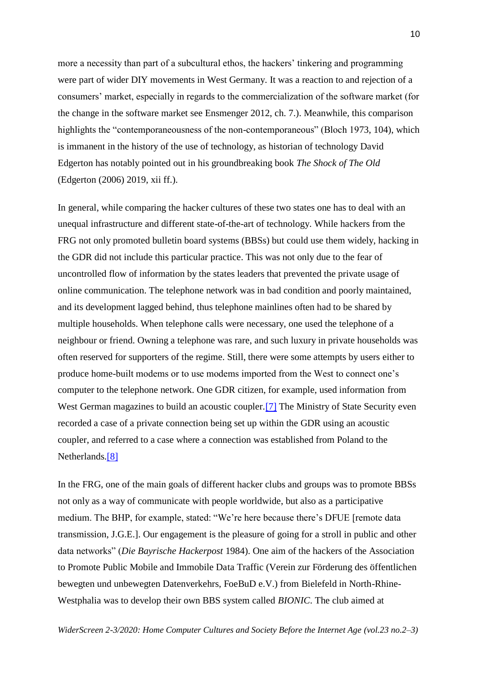more a necessity than part of a subcultural ethos, the hackers' tinkering and programming were part of wider DIY movements in West Germany. It was a reaction to and rejection of a consumers' market, especially in regards to the commercialization of the software market (for the change in the software market see Ensmenger 2012, ch. 7.). Meanwhile, this comparison highlights the "contemporaneousness of the non-contemporaneous" (Bloch 1973, 104), which is immanent in the history of the use of technology, as historian of technology David Edgerton has notably pointed out in his groundbreaking book *The Shock of The Old* (Edgerton (2006) 2019, xii ff.).

In general, while comparing the hacker cultures of these two states one has to deal with an unequal infrastructure and different state-of-the-art of technology. While hackers from the FRG not only promoted bulletin board systems (BBSs) but could use them widely, hacking in the GDR did not include this particular practice. This was not only due to the fear of uncontrolled flow of information by the states leaders that prevented the private usage of online communication. The telephone network was in bad condition and poorly maintained, and its development lagged behind, thus telephone mainlines often had to be shared by multiple households. When telephone calls were necessary, one used the telephone of a neighbour or friend. Owning a telephone was rare, and such luxury in private households was often reserved for supporters of the regime. Still, there were some attempts by users either to produce home-built modems or to use modems imported from the West to connect one's computer to the telephone network. One GDR citizen, for example, used information from West German magazines to build an acoustic coupler.<sup>[7]</sup> The Ministry of State Security even recorded a case of a private connection being set up within the GDR using an acoustic coupler, and referred to a case where a connection was established from Poland to the Netherlands.<sup>[8]</sup>

In the FRG, one of the main goals of different hacker clubs and groups was to promote BBSs not only as a way of communicate with people worldwide, but also as a participative medium. The BHP, for example, stated: "We're here because there's DFUE [remote data transmission, J.G.E.]. Our engagement is the pleasure of going for a stroll in public and other data networks" (*Die Bayrische Hackerpost* 1984). One aim of the hackers of the Association to Promote Public Mobile and Immobile Data Traffic (Verein zur Förderung des öffentlichen bewegten und unbewegten Datenverkehrs, FoeBuD e.V.) from Bielefeld in North-Rhine-Westphalia was to develop their own BBS system called *BIONIC*. The club aimed at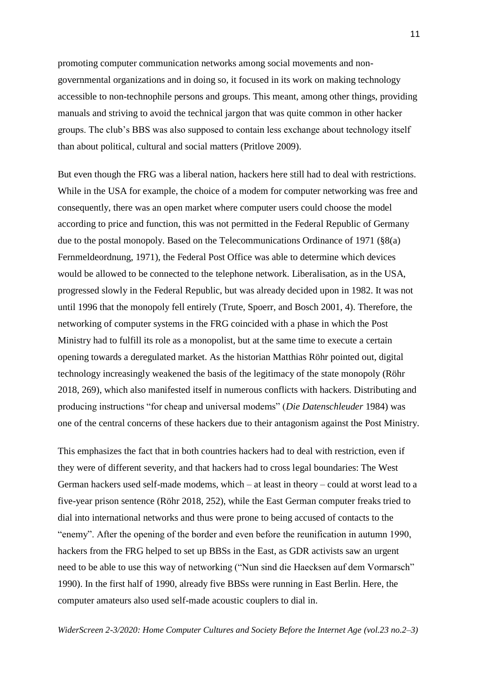promoting computer communication networks among social movements and nongovernmental organizations and in doing so, it focused in its work on making technology accessible to non-technophile persons and groups. This meant, among other things, providing manuals and striving to avoid the technical jargon that was quite common in other hacker groups. The club's BBS was also supposed to contain less exchange about technology itself than about political, cultural and social matters (Pritlove 2009).

But even though the FRG was a liberal nation, hackers here still had to deal with restrictions. While in the USA for example, the choice of a modem for computer networking was free and consequently, there was an open market where computer users could choose the model according to price and function, this was not permitted in the Federal Republic of Germany due to the postal monopoly. Based on the Telecommunications Ordinance of 1971 (§8(a) Fernmeldeordnung, 1971), the Federal Post Office was able to determine which devices would be allowed to be connected to the telephone network. Liberalisation, as in the USA, progressed slowly in the Federal Republic, but was already decided upon in 1982. It was not until 1996 that the monopoly fell entirely (Trute, Spoerr, and Bosch 2001, 4). Therefore, the networking of computer systems in the FRG coincided with a phase in which the Post Ministry had to fulfill its role as a monopolist, but at the same time to execute a certain opening towards a deregulated market. As the historian Matthias Röhr pointed out, digital technology increasingly weakened the basis of the legitimacy of the state monopoly (Röhr 2018, 269), which also manifested itself in numerous conflicts with hackers. Distributing and producing instructions "for cheap and universal modems" (*Die Datenschleuder* 1984) was one of the central concerns of these hackers due to their antagonism against the Post Ministry.

This emphasizes the fact that in both countries hackers had to deal with restriction, even if they were of different severity, and that hackers had to cross legal boundaries: The West German hackers used self-made modems, which – at least in theory – could at worst lead to a five-year prison sentence (Röhr 2018, 252), while the East German computer freaks tried to dial into international networks and thus were prone to being accused of contacts to the "enemy". After the opening of the border and even before the reunification in autumn 1990, hackers from the FRG helped to set up BBSs in the East, as GDR activists saw an urgent need to be able to use this way of networking ("Nun sind die Haecksen auf dem Vormarsch" 1990). In the first half of 1990, already five BBSs were running in East Berlin. Here, the computer amateurs also used self-made acoustic couplers to dial in.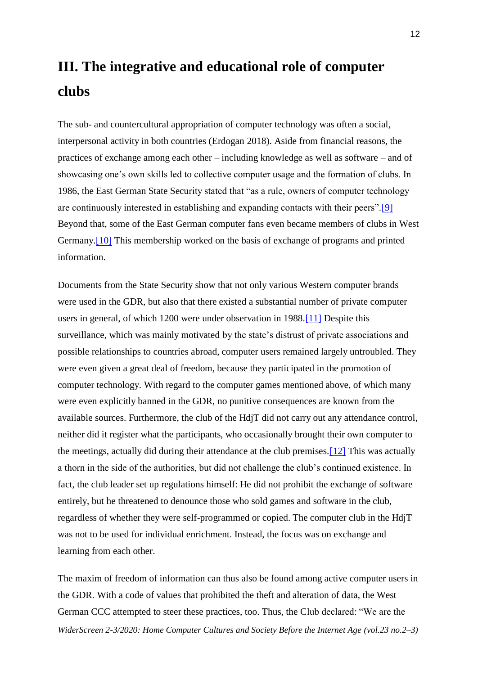# **III. The integrative and educational role of computer clubs**

The sub- and countercultural appropriation of computer technology was often a social, interpersonal activity in both countries (Erdogan 2018). Aside from financial reasons, the practices of exchange among each other – including knowledge as well as software – and of showcasing one's own skills led to collective computer usage and the formation of clubs. In 1986, the East German State Security stated that "as a rule, owners of computer technology are continuously interested in establishing and expanding contacts with their peers"[.\[9\]](http://widerscreen.fi/numerot/2020-2-3/west-and-east-german-hackers-from-a-comparative-perspective/#_edn9) Beyond that, some of the East German computer fans even became members of clubs in West Germany[.\[10\]](http://widerscreen.fi/numerot/2020-2-3/west-and-east-german-hackers-from-a-comparative-perspective/#_edn10) This membership worked on the basis of exchange of programs and printed information.

Documents from the State Security show that not only various Western computer brands were used in the GDR, but also that there existed a substantial number of private computer users in general, of which 1200 were under observation in 1988[.\[11\]](http://widerscreen.fi/numerot/2020-2-3/west-and-east-german-hackers-from-a-comparative-perspective/#_edn11) Despite this surveillance, which was mainly motivated by the state's distrust of private associations and possible relationships to countries abroad, computer users remained largely untroubled. They were even given a great deal of freedom, because they participated in the promotion of computer technology. With regard to the computer games mentioned above, of which many were even explicitly banned in the GDR, no punitive consequences are known from the available sources. Furthermore, the club of the HdjT did not carry out any attendance control, neither did it register what the participants, who occasionally brought their own computer to the meetings, actually did during their attendance at the club premises[.\[12\]](http://widerscreen.fi/numerot/2020-2-3/west-and-east-german-hackers-from-a-comparative-perspective/#_edn12) This was actually a thorn in the side of the authorities, but did not challenge the club's continued existence. In fact, the club leader set up regulations himself: He did not prohibit the exchange of software entirely, but he threatened to denounce those who sold games and software in the club, regardless of whether they were self-programmed or copied. The computer club in the HdjT was not to be used for individual enrichment. Instead, the focus was on exchange and learning from each other.

*WiderScreen 2-3/2020: Home Computer Cultures and Society Before the Internet Age (vol.23 no.2–3)* The maxim of freedom of information can thus also be found among active computer users in the GDR. With a code of values that prohibited the theft and alteration of data, the West German CCC attempted to steer these practices, too. Thus, the Club declared: "We are the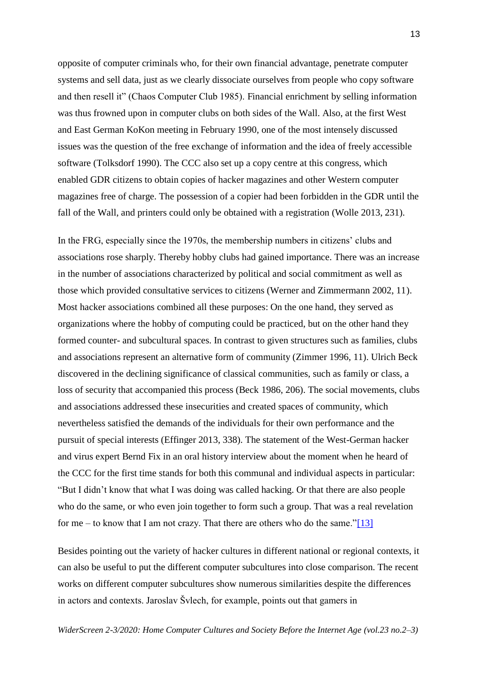opposite of computer criminals who, for their own financial advantage, penetrate computer systems and sell data, just as we clearly dissociate ourselves from people who copy software and then resell it" (Chaos Computer Club 1985). Financial enrichment by selling information was thus frowned upon in computer clubs on both sides of the Wall. Also, at the first West and East German KoKon meeting in February 1990, one of the most intensely discussed issues was the question of the free exchange of information and the idea of freely accessible software (Tolksdorf 1990). The CCC also set up a copy centre at this congress, which enabled GDR citizens to obtain copies of hacker magazines and other Western computer magazines free of charge. The possession of a copier had been forbidden in the GDR until the fall of the Wall, and printers could only be obtained with a registration (Wolle 2013, 231).

In the FRG, especially since the 1970s, the membership numbers in citizens' clubs and associations rose sharply. Thereby hobby clubs had gained importance. There was an increase in the number of associations characterized by political and social commitment as well as those which provided consultative services to citizens (Werner and Zimmermann 2002, 11). Most hacker associations combined all these purposes: On the one hand, they served as organizations where the hobby of computing could be practiced, but on the other hand they formed counter- and subcultural spaces. In contrast to given structures such as families, clubs and associations represent an alternative form of community (Zimmer 1996, 11). Ulrich Beck discovered in the declining significance of classical communities, such as family or class, a loss of security that accompanied this process (Beck 1986, 206). The social movements, clubs and associations addressed these insecurities and created spaces of community, which nevertheless satisfied the demands of the individuals for their own performance and the pursuit of special interests (Effinger 2013, 338). The statement of the West-German hacker and virus expert Bernd Fix in an oral history interview about the moment when he heard of the CCC for the first time stands for both this communal and individual aspects in particular: "But I didn't know that what I was doing was called hacking. Or that there are also people who do the same, or who even join together to form such a group. That was a real revelation for me – to know that I am not crazy. That there are others who do the same.["\[13\]](http://widerscreen.fi/numerot/2020-2-3/west-and-east-german-hackers-from-a-comparative-perspective/#_edn13)

Besides pointing out the variety of hacker cultures in different national or regional contexts, it can also be useful to put the different computer subcultures into close comparison. The recent works on different computer subcultures show numerous similarities despite the differences in actors and contexts. Jaroslav Švlech, for example, points out that gamers in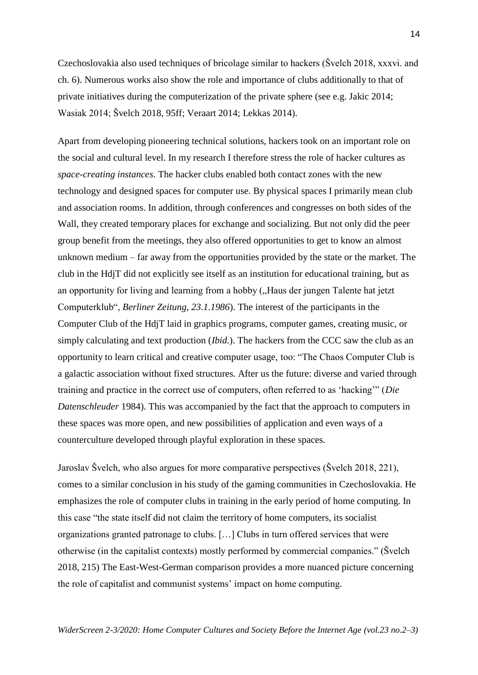Czechoslovakia also used techniques of bricolage similar to hackers (Švelch 2018, xxxvi. and ch. 6). Numerous works also show the role and importance of clubs additionally to that of private initiatives during the computerization of the private sphere (see e.g. Jakic 2014; Wasiak 2014; Švelch 2018, 95ff; Veraart 2014; Lekkas 2014).

Apart from developing pioneering technical solutions, hackers took on an important role on the social and cultural level. In my research I therefore stress the role of hacker cultures as *space-creating instances*. The hacker clubs enabled both contact zones with the new technology and designed spaces for computer use. By physical spaces I primarily mean club and association rooms. In addition, through conferences and congresses on both sides of the Wall, they created temporary places for exchange and socializing. But not only did the peer group benefit from the meetings, they also offered opportunities to get to know an almost unknown medium – far away from the opportunities provided by the state or the market. The club in the HdjT did not explicitly see itself as an institution for educational training, but as an opportunity for living and learning from a hobby ("Haus der jungen Talente hat jetzt Computerklub", *Berliner Zeitung, 23.1.1986*). The interest of the participants in the Computer Club of the HdjT laid in graphics programs, computer games, creating music, or simply calculating and text production (*Ibid.*). The hackers from the CCC saw the club as an opportunity to learn critical and creative computer usage, too: "The Chaos Computer Club is a galactic association without fixed structures. After us the future: diverse and varied through training and practice in the correct use of computers, often referred to as 'hacking'" (*Die Datenschleuder* 1984). This was accompanied by the fact that the approach to computers in these spaces was more open, and new possibilities of application and even ways of a counterculture developed through playful exploration in these spaces.

Jaroslav Švelch, who also argues for more comparative perspectives (Švelch 2018, 221), comes to a similar conclusion in his study of the gaming communities in Czechoslovakia. He emphasizes the role of computer clubs in training in the early period of home computing. In this case "the state itself did not claim the territory of home computers, its socialist organizations granted patronage to clubs. […] Clubs in turn offered services that were otherwise (in the capitalist contexts) mostly performed by commercial companies." (Švelch 2018, 215) The East-West-German comparison provides a more nuanced picture concerning the role of capitalist and communist systems' impact on home computing.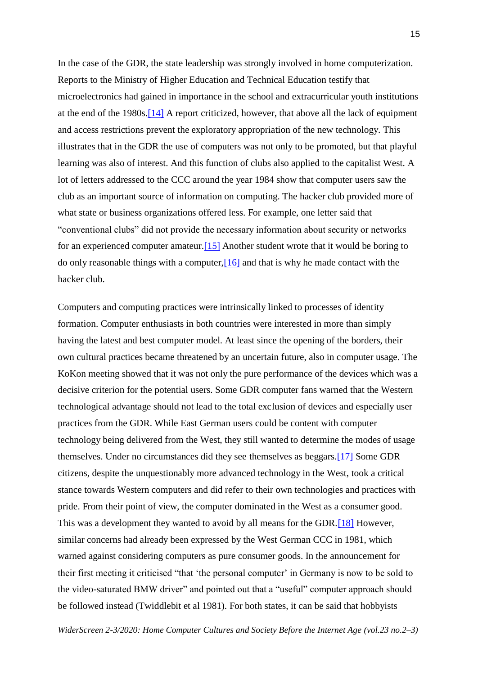In the case of the GDR, the state leadership was strongly involved in home computerization. Reports to the Ministry of Higher Education and Technical Education testify that microelectronics had gained in importance in the school and extracurricular youth institutions at the end of the 1980s[.\[14\]](http://widerscreen.fi/numerot/2020-2-3/west-and-east-german-hackers-from-a-comparative-perspective/#_edn14) A report criticized, however, that above all the lack of equipment and access restrictions prevent the exploratory appropriation of the new technology. This illustrates that in the GDR the use of computers was not only to be promoted, but that playful learning was also of interest. And this function of clubs also applied to the capitalist West. A lot of letters addressed to the CCC around the year 1984 show that computer users saw the club as an important source of information on computing. The hacker club provided more of what state or business organizations offered less. For example, one letter said that "conventional clubs" did not provide the necessary information about security or networks for an experienced computer amateur[.\[15\]](http://widerscreen.fi/numerot/2020-2-3/west-and-east-german-hackers-from-a-comparative-perspective/#_edn15) Another student wrote that it would be boring to do only reasonable things with a computer,  $[16]$  and that is why he made contact with the hacker club.

Computers and computing practices were intrinsically linked to processes of identity formation. Computer enthusiasts in both countries were interested in more than simply having the latest and best computer model. At least since the opening of the borders, their own cultural practices became threatened by an uncertain future, also in computer usage. The KoKon meeting showed that it was not only the pure performance of the devices which was a decisive criterion for the potential users. Some GDR computer fans warned that the Western technological advantage should not lead to the total exclusion of devices and especially user practices from the GDR. While East German users could be content with computer technology being delivered from the West, they still wanted to determine the modes of usage themselves. Under no circumstances did they see themselves as beggars[.\[17\]](http://widerscreen.fi/numerot/2020-2-3/west-and-east-german-hackers-from-a-comparative-perspective/#_edn17) Some GDR citizens, despite the unquestionably more advanced technology in the West, took a critical stance towards Western computers and did refer to their own technologies and practices with pride. From their point of view, the computer dominated in the West as a consumer good. This was a development they wanted to avoid by all means for the GDR.<sup>[18]</sup> However, similar concerns had already been expressed by the West German CCC in 1981, which warned against considering computers as pure consumer goods. In the announcement for their first meeting it criticised "that 'the personal computer' in Germany is now to be sold to the video-saturated BMW driver" and pointed out that a "useful" computer approach should be followed instead (Twiddlebit et al 1981). For both states, it can be said that hobbyists

*WiderScreen 2-3/2020: Home Computer Cultures and Society Before the Internet Age (vol.23 no.2–3)*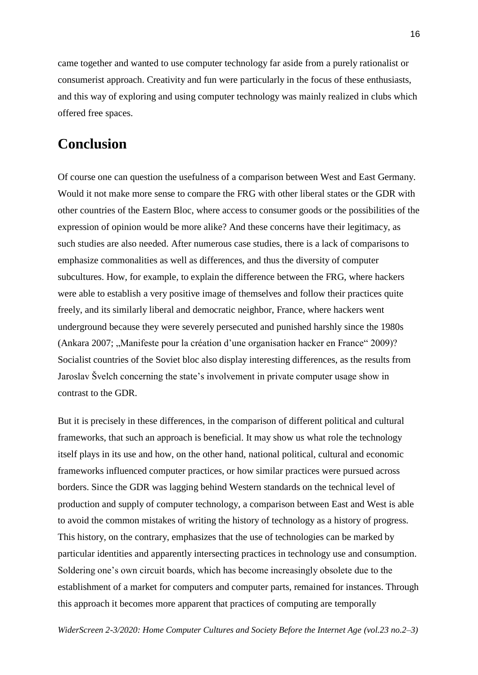came together and wanted to use computer technology far aside from a purely rationalist or consumerist approach. Creativity and fun were particularly in the focus of these enthusiasts, and this way of exploring and using computer technology was mainly realized in clubs which offered free spaces.

# **Conclusion**

Of course one can question the usefulness of a comparison between West and East Germany. Would it not make more sense to compare the FRG with other liberal states or the GDR with other countries of the Eastern Bloc, where access to consumer goods or the possibilities of the expression of opinion would be more alike? And these concerns have their legitimacy, as such studies are also needed. After numerous case studies, there is a lack of comparisons to emphasize commonalities as well as differences, and thus the diversity of computer subcultures. How, for example, to explain the difference between the FRG, where hackers were able to establish a very positive image of themselves and follow their practices quite freely, and its similarly liberal and democratic neighbor, France, where hackers went underground because they were severely persecuted and punished harshly since the 1980s (Ankara 2007; "Manifeste pour la création d'une organisation hacker en France" 2009)? Socialist countries of the Soviet bloc also display interesting differences, as the results from Jaroslav Švelch concerning the state's involvement in private computer usage show in contrast to the GDR.

But it is precisely in these differences, in the comparison of different political and cultural frameworks, that such an approach is beneficial. It may show us what role the technology itself plays in its use and how, on the other hand, national political, cultural and economic frameworks influenced computer practices, or how similar practices were pursued across borders. Since the GDR was lagging behind Western standards on the technical level of production and supply of computer technology, a comparison between East and West is able to avoid the common mistakes of writing the history of technology as a history of progress. This history, on the contrary, emphasizes that the use of technologies can be marked by particular identities and apparently intersecting practices in technology use and consumption. Soldering one's own circuit boards, which has become increasingly obsolete due to the establishment of a market for computers and computer parts, remained for instances. Through this approach it becomes more apparent that practices of computing are temporally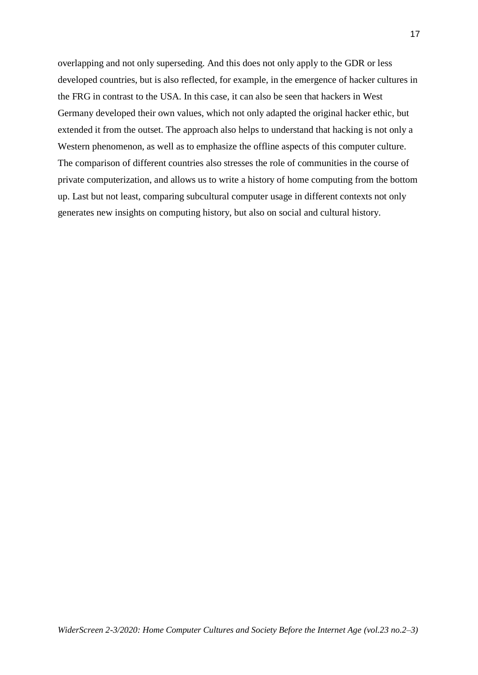overlapping and not only superseding. And this does not only apply to the GDR or less developed countries, but is also reflected, for example, in the emergence of hacker cultures in the FRG in contrast to the USA. In this case, it can also be seen that hackers in West Germany developed their own values, which not only adapted the original hacker ethic, but extended it from the outset. The approach also helps to understand that hacking is not only a Western phenomenon, as well as to emphasize the offline aspects of this computer culture. The comparison of different countries also stresses the role of communities in the course of private computerization, and allows us to write a history of home computing from the bottom up. Last but not least, comparing subcultural computer usage in different contexts not only generates new insights on computing history, but also on social and cultural history.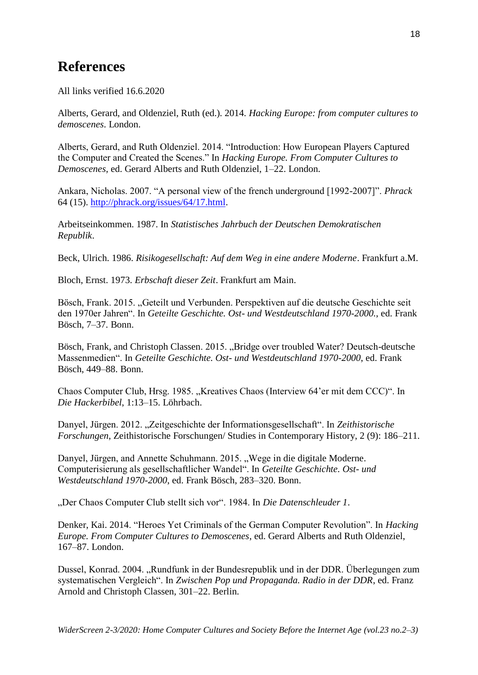# **References**

All links verified 16.6.2020

Alberts, Gerard, and Oldenziel, Ruth (ed.). 2014. *Hacking Europe: from computer cultures to demoscenes*. London.

Alberts, Gerard, and Ruth Oldenziel. 2014. "Introduction: How European Players Captured the Computer and Created the Scenes." In *Hacking Europe. From Computer Cultures to Demoscenes*, ed. Gerard Alberts and Ruth Oldenziel, 1–22. London.

Ankara, Nicholas. 2007. "A personal view of the french underground [1992-2007]". *Phrack* 64 (15). [http://phrack.org/issues/64/17.html.](http://phrack.org/issues/64/17.html)

Arbeitseinkommen. 1987. In *Statistisches Jahrbuch der Deutschen Demokratischen Republik*.

Beck, Ulrich. 1986. *Risikogesellschaft: Auf dem Weg in eine andere Moderne*. Frankfurt a.M.

Bloch, Ernst. 1973. *Erbschaft dieser Zeit*. Frankfurt am Main.

Bösch, Frank. 2015. "Geteilt und Verbunden. Perspektiven auf die deutsche Geschichte seit den 1970er Jahren". In *Geteilte Geschichte. Ost- und Westdeutschland 1970-2000.*, ed. Frank Bösch, 7–37. Bonn.

Bösch, Frank, and Christoph Classen. 2015. "Bridge over troubled Water? Deutsch-deutsche Massenmedien". In *Geteilte Geschichte. Ost- und Westdeutschland 1970-2000*, ed. Frank Bösch, 449–88. Bonn.

Chaos Computer Club, Hrsg. 1985. "Kreatives Chaos (Interview 64'er mit dem CCC)". In *Die Hackerbibel*, 1:13–15. Löhrbach.

Danyel, Jürgen. 2012. "Zeitgeschichte der Informationsgesellschaft". In Zeithistorische *Forschungen*, Zeithistorische Forschungen/ Studies in Contemporary History, 2 (9): 186–211.

Danyel, Jürgen, and Annette Schuhmann. 2015. "Wege in die digitale Moderne. Computerisierung als gesellschaftlicher Wandel". In *Geteilte Geschichte. Ost- und Westdeutschland 1970-2000*, ed. Frank Bösch, 283–320. Bonn.

"Der Chaos Computer Club stellt sich vor". 1984. In *Die Datenschleuder 1*.

Denker, Kai. 2014. "Heroes Yet Criminals of the German Computer Revolution". In *Hacking Europe. From Computer Cultures to Demoscenes*, ed. Gerard Alberts and Ruth Oldenziel, 167–87. London.

Dussel, Konrad. 2004. "Rundfunk in der Bundesrepublik und in der DDR. Überlegungen zum systematischen Vergleich". In *Zwischen Pop und Propaganda. Radio in der DDR*, ed. Franz Arnold and Christoph Classen, 301–22. Berlin.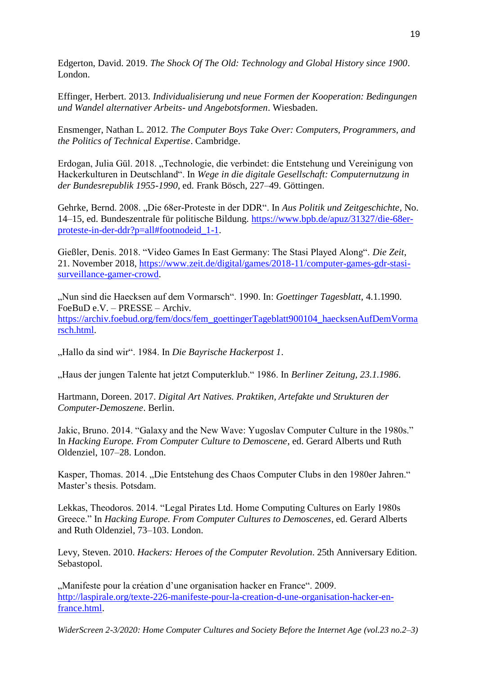Edgerton, David. 2019. *The Shock Of The Old: Technology and Global History since 1900*. London.

Effinger, Herbert. 2013. *Individualisierung und neue Formen der Kooperation: Bedingungen und Wandel alternativer Arbeits- und Angebotsformen*. Wiesbaden.

Ensmenger, Nathan L. 2012. *The Computer Boys Take Over: Computers, Programmers, and the Politics of Technical Expertise*. Cambridge.

Erdogan, Julia Gül. 2018. "Technologie, die verbindet: die Entstehung und Vereinigung von Hackerkulturen in Deutschland". In *Wege in die digitale Gesellschaft: Computernutzung in der Bundesrepublik 1955-1990*, ed. Frank Bösch, 227–49. Göttingen.

Gehrke, Bernd. 2008. "Die 68er-Proteste in der DDR". In *Aus Politik und Zeitgeschichte*, No. 14–15, ed. Bundeszentrale für politische Bildung. [https://www.bpb.de/apuz/31327/die-68er](https://www.bpb.de/apuz/31327/die-68er-proteste-in-der-ddr?p=all#footnodeid_1-1)[proteste-in-der-ddr?p=all#footnodeid\\_1-1.](https://www.bpb.de/apuz/31327/die-68er-proteste-in-der-ddr?p=all#footnodeid_1-1)

Gießler, Denis. 2018. "Video Games In East Germany: The Stasi Played Along". *Die Zeit*, 21. November 2018, [https://www.zeit.de/digital/games/2018-11/computer-games-gdr-stasi](https://www.zeit.de/digital/games/2018-11/computer-games-gdr-stasi-surveillance-gamer-crowd)[surveillance-gamer-crowd.](https://www.zeit.de/digital/games/2018-11/computer-games-gdr-stasi-surveillance-gamer-crowd)

"Nun sind die Haecksen auf dem Vormarsch". 1990. In: *Goettinger Tagesblatt,* 4.1.1990. FoeBuD e.V. – PRESSE – Archiv. [https://archiv.foebud.org/fem/docs/fem\\_goettingerTageblatt900104\\_haecksenAufDemVorma](https://archiv.foebud.org/fem/docs/fem_goettingerTageblatt900104_haecksenAufDemVormarsch.html) [rsch.html.](https://archiv.foebud.org/fem/docs/fem_goettingerTageblatt900104_haecksenAufDemVormarsch.html)

"Hallo da sind wir". 1984. In *Die Bayrische Hackerpost 1*.

"Haus der jungen Talente hat jetzt Computerklub." 1986. In *Berliner Zeitung, 23.1.1986*.

Hartmann, Doreen. 2017. *Digital Art Natives. Praktiken, Artefakte und Strukturen der Computer-Demoszene*. Berlin.

Jakic, Bruno. 2014. "Galaxy and the New Wave: Yugoslav Computer Culture in the 1980s." In *Hacking Europe. From Computer Culture to Demoscene*, ed. Gerard Alberts und Ruth Oldenziel, 107–28. London.

Kasper, Thomas. 2014. "Die Entstehung des Chaos Computer Clubs in den 1980er Jahren." Master's thesis. Potsdam.

Lekkas, Theodoros. 2014. "Legal Pirates Ltd. Home Computing Cultures on Early 1980s Greece." In *Hacking Europe. From Computer Cultures to Demoscenes*, ed. Gerard Alberts and Ruth Oldenziel, 73–103. London.

Levy, Steven. 2010. *Hackers: Heroes of the Computer Revolution*. 25th Anniversary Edition. Sebastopol.

"Manifeste pour la création d'une organisation hacker en France". 2009. [http://laspirale.org/texte-226-manifeste-pour-la-creation-d-une-organisation-hacker-en](http://laspirale.org/texte-226-manifeste-pour-la-creation-d-une-organisation-hacker-en-france.html)[france.html.](http://laspirale.org/texte-226-manifeste-pour-la-creation-d-une-organisation-hacker-en-france.html)

*WiderScreen 2-3/2020: Home Computer Cultures and Society Before the Internet Age (vol.23 no.2–3)*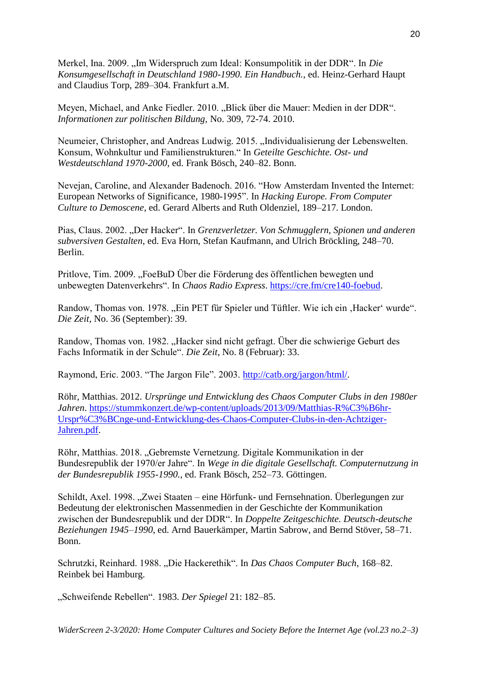Merkel, Ina. 2009. "Im Widerspruch zum Ideal: Konsumpolitik in der DDR". In *Die Konsumgesellschaft in Deutschland 1980-1990. Ein Handbuch.*, ed. Heinz-Gerhard Haupt and Claudius Torp, 289–304. Frankfurt a.M.

Meyen, Michael, and Anke Fiedler. 2010. "Blick über die Mauer: Medien in der DDR". *Informationen zur politischen Bildung,* No. 309, 72-74. 2010.

Neumeier, Christopher, and Andreas Ludwig. 2015. "Individualisierung der Lebenswelten. Konsum, Wohnkultur und Familienstrukturen." In *Geteilte Geschichte. Ost- und Westdeutschland 1970-2000*, ed. Frank Bösch, 240–82. Bonn.

Nevejan, Caroline, and Alexander Badenoch. 2016. "How Amsterdam Invented the Internet: European Networks of Significance, 1980-1995". In *Hacking Europe. From Computer Culture to Demoscene*, ed. Gerard Alberts and Ruth Oldenziel, 189–217. London.

Pias, Claus. 2002. "Der Hacker". In *Grenzverletzer. Von Schmugglern, Spionen und anderen subversiven Gestalten*, ed. Eva Horn, Stefan Kaufmann, and Ulrich Bröckling, 248–70. Berlin.

Pritlove, Tim. 2009. "FoeBuD Über die Förderung des öffentlichen bewegten und unbewegten Datenverkehrs". In *Chaos Radio Express*. [https://cre.fm/cre140-foebud.](https://cre.fm/cre140-foebud)

Randow, Thomas von. 1978. "Ein PET für Spieler und Tüftler. Wie ich ein "Hacker' wurde". *Die Zeit*, No. 36 (September): 39.

Randow, Thomas von. 1982. "Hacker sind nicht gefragt. Über die schwierige Geburt des Fachs Informatik in der Schule". *Die Zeit*, No. 8 (Februar): 33.

Raymond, Eric. 2003. "The Jargon File". 2003. [http://catb.org/jargon/html/.](http://catb.org/jargon/html/)

Röhr, Matthias. 2012. *Ursprünge und Entwicklung des Chaos Computer Clubs in den 1980er Jahren*. [https://stummkonzert.de/wp-content/uploads/2013/09/Matthias-R%C3%B6hr-](https://stummkonzert.de/wp-content/uploads/2013/09/Matthias-R%C3%B6hr-Urspr%C3%BCnge-und-Entwicklung-des-Chaos-Computer-Clubs-in-den-Achtziger-Jahren.pdf)[Urspr%C3%BCnge-und-Entwicklung-des-Chaos-Computer-Clubs-in-den-Achtziger-](https://stummkonzert.de/wp-content/uploads/2013/09/Matthias-R%C3%B6hr-Urspr%C3%BCnge-und-Entwicklung-des-Chaos-Computer-Clubs-in-den-Achtziger-Jahren.pdf)[Jahren.pdf.](https://stummkonzert.de/wp-content/uploads/2013/09/Matthias-R%C3%B6hr-Urspr%C3%BCnge-und-Entwicklung-des-Chaos-Computer-Clubs-in-den-Achtziger-Jahren.pdf)

Röhr, Matthias. 2018. "Gebremste Vernetzung. Digitale Kommunikation in der Bundesrepublik der 1970/er Jahre". In *Wege in die digitale Gesellschaft. Computernutzung in der Bundesrepublik 1955-1990.*, ed. Frank Bösch, 252–73. Göttingen.

Schildt, Axel. 1998. "Zwei Staaten – eine Hörfunk- und Fernsehnation. Überlegungen zur Bedeutung der elektronischen Massenmedien in der Geschichte der Kommunikation zwischen der Bundesrepublik und der DDR". In *Doppelte Zeitgeschichte. Deutsch-deutsche Beziehungen 1945–1990*, ed. Arnd Bauerkämper, Martin Sabrow, and Bernd Stöver, 58–71. Bonn.

Schrutzki, Reinhard. 1988. "Die Hackerethik". In *Das Chaos Computer Buch*, 168–82. Reinbek bei Hamburg.

"Schweifende Rebellen". 1983. Der Spiegel 21: 182-85.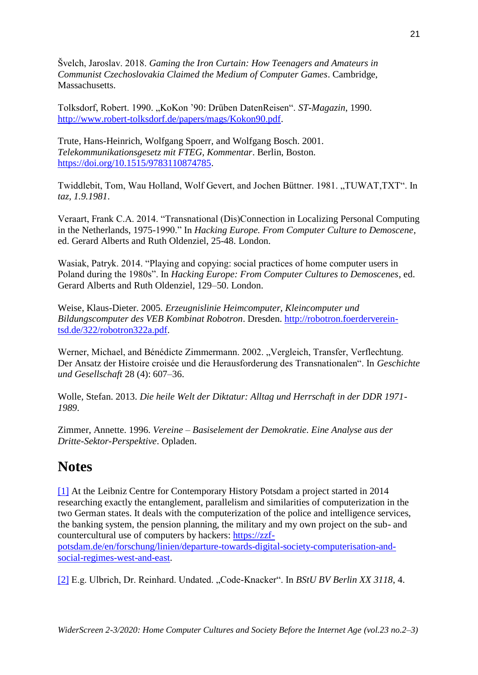Švelch, Jaroslav. 2018. *Gaming the Iron Curtain: How Teenagers and Amateurs in Communist Czechoslovakia Claimed the Medium of Computer Games*. Cambridge, Massachusetts.

Tolksdorf, Robert. 1990. "KoKon '90: Drüben DatenReisen". *ST-Magazin*, 1990. [http://www.robert-tolksdorf.de/papers/mags/Kokon90.pdf.](http://www.robert-tolksdorf.de/papers/mags/Kokon90.pdf)

Trute, Hans-Heinrich, Wolfgang Spoerr, and Wolfgang Bosch. 2001. *Telekommunikationsgesetz mit FTEG, Kommentar*. Berlin, Boston. [https://doi.org/10.1515/9783110874785.](https://doi.org/10.1515/9783110874785)

Twiddlebit, Tom, Wau Holland, Wolf Gevert, and Jochen Büttner. 1981. "TUWAT,TXT". In *taz, 1.9.1981*.

Veraart, Frank C.A. 2014. "Transnational (Dis)Connection in Localizing Personal Computing in the Netherlands, 1975-1990." In *Hacking Europe. From Computer Culture to Demoscene*, ed. Gerard Alberts and Ruth Oldenziel, 25-48. London.

Wasiak, Patryk. 2014. "Playing and copying: social practices of home computer users in Poland during the 1980s". In *Hacking Europe: From Computer Cultures to Demoscenes*, ed. Gerard Alberts and Ruth Oldenziel, 129–50. London.

Weise, Klaus-Dieter. 2005. *Erzeugnislinie Heimcomputer, Kleincomputer und Bildungscomputer des VEB Kombinat Robotron*. Dresden. [http://robotron.foerderverein](http://robotron.foerderverein-tsd.de/322/robotron322a.pdf)[tsd.de/322/robotron322a.pdf.](http://robotron.foerderverein-tsd.de/322/robotron322a.pdf)

Werner, Michael, and Bénédicte Zimmermann. 2002. "Vergleich, Transfer, Verflechtung. Der Ansatz der Histoire croisée und die Herausforderung des Transnationalen". In *Geschichte und Gesellschaft* 28 (4): 607–36.

Wolle, Stefan. 2013. *Die heile Welt der Diktatur: Alltag und Herrschaft in der DDR 1971- 1989*.

Zimmer, Annette. 1996. *Vereine – Basiselement der Demokratie. Eine Analyse aus der Dritte-Sektor-Perspektive*. Opladen.

# **Notes**

[\[1\]](http://widerscreen.fi/numerot/2020-2-3/west-and-east-german-hackers-from-a-comparative-perspective/#_ednref1) At the Leibniz Centre for Contemporary History Potsdam a project started in 2014 researching exactly the entanglement, parallelism and similarities of computerization in the two German states. It deals with the computerization of the police and intelligence services, the banking system, the pension planning, the military and my own project on the sub- and countercultural use of computers by hackers: [https://zzf-](https://zzf-potsdam.de/en/forschung/linien/departure-towards-digital-society-computerisation-and-social-regimes-west-and-east)

[potsdam.de/en/forschung/linien/departure-towards-digital-society-computerisation-and](https://zzf-potsdam.de/en/forschung/linien/departure-towards-digital-society-computerisation-and-social-regimes-west-and-east)[social-regimes-west-and-east.](https://zzf-potsdam.de/en/forschung/linien/departure-towards-digital-society-computerisation-and-social-regimes-west-and-east)

[\[2\]](http://widerscreen.fi/numerot/2020-2-3/west-and-east-german-hackers-from-a-comparative-perspective/#_ednref2) E.g. Ulbrich, Dr. Reinhard. Undated. "Code-Knacker". In *BStU BV Berlin XX 3118*, 4.